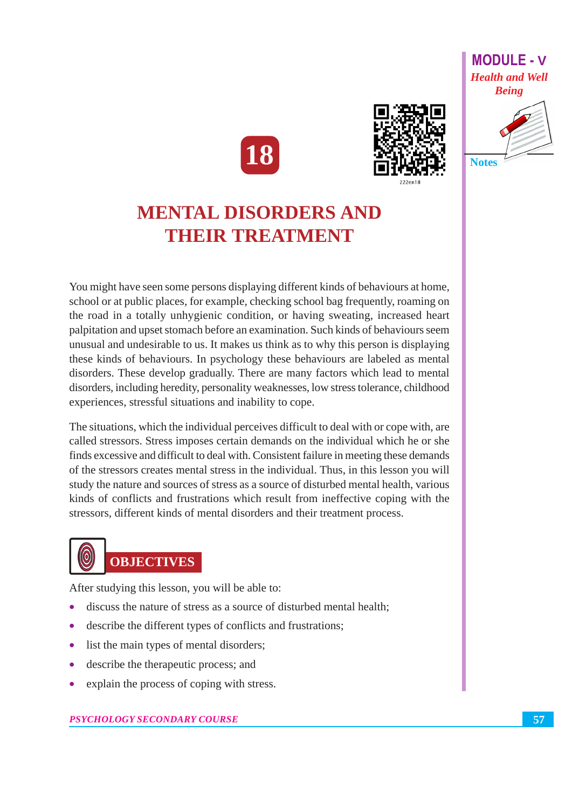



## **MENTAL DISORDERS AND THEIR TREATMENT**

You might have seen some persons displaying different kinds of behaviours at home, school or at public places, for example, checking school bag frequently, roaming on the road in a totally unhygienic condition, or having sweating, increased heart palpitation and upset stomach before an examination. Such kinds of behaviours seem unusual and undesirable to us. It makes us think as to why this person is displaying these kinds of behaviours. In psychology these behaviours are labeled as mental disorders. These develop gradually. There are many factors which lead to mental disorders, including heredity, personality weaknesses, low stress tolerance, childhood experiences, stressful situations and inability to cope.

The situations, which the individual perceives difficult to deal with or cope with, are called stressors. Stress imposes certain demands on the individual which he or she finds excessive and difficult to deal with. Consistent failure in meeting these demands of the stressors creates mental stress in the individual. Thus, in this lesson you will study the nature and sources of stress as a source of disturbed mental health, various kinds of conflicts and frustrations which result from ineffective coping with the stressors, different kinds of mental disorders and their treatment process.

# **OBJECTIVES**

 $\large{\textcircled{\small{0}}}$ 

After studying this lesson, you will be able to:

- discuss the nature of stress as a source of disturbed mental health:
- $\bullet$ describe the different types of conflicts and frustrations;
- list the main types of mental disorders;  $\bullet$
- $\bullet$ describe the therapeutic process; and
- explain the process of coping with stress.  $\bullet$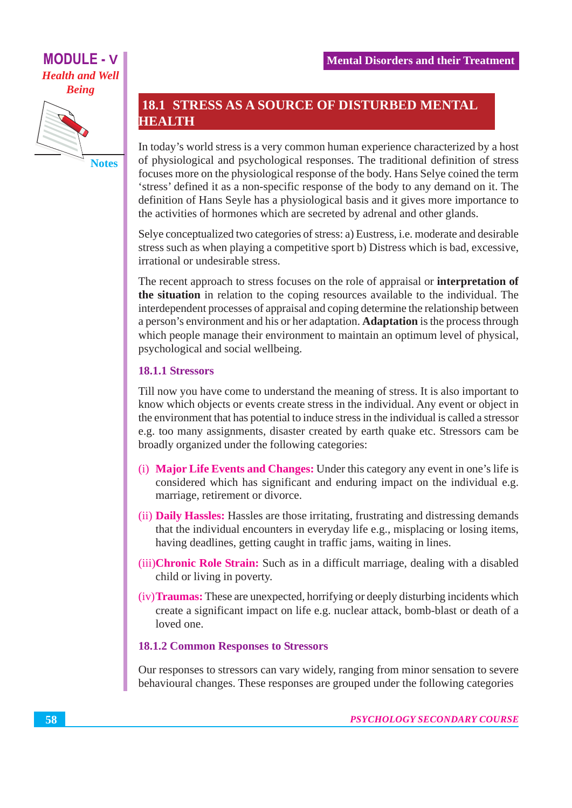

## **18.1 STRESS AS A SOURCE OF DISTURBED MENTAL HEALTH**

In today's world stress is a very common human experience characterized by a host of physiological and psychological responses. The traditional definition of stress focuses more on the physiological response of the body. Hans Selve coined the term 'stress' defined it as a non-specific response of the body to any demand on it. The definition of Hans Seyle has a physiological basis and it gives more importance to the activities of hormones which are secreted by adrenal and other glands.

Selye conceptualized two categories of stress: a) Eustress, *i.e.* moderate and desirable stress such as when playing a competitive sport b) Distress which is bad, excessive, irrational or undesirable stress.

The recent approach to stress focuses on the role of appraisal or **interpretation of** the situation in relation to the coping resources available to the individual. The interdependent processes of appraisal and coping determine the relationship between a person's environment and his or her adaptation. Adaptation is the process through which people manage their environment to maintain an optimum level of physical, psychological and social wellbeing.

#### **18.1.1 Stressors**

Till now you have come to understand the meaning of stress. It is also important to know which objects or events create stress in the individual. Any event or object in the environment that has potential to induce stress in the individual is called a stressor e.g. too many assignments, disaster created by earth quake etc. Stressors cam be broadly organized under the following categories:

- (i) Major Life Events and Changes: Under this category any event in one's life is considered which has significant and enduring impact on the individual e.g. marriage, retirement or divorce.
- (ii) **Daily Hassles:** Hassles are those irritating, frustrating and distressing demands that the individual encounters in everyday life e.g., misplacing or losing items, having deadlines, getting caught in traffic jams, waiting in lines.
- (iii) Chronic Role Strain: Such as in a difficult marriage, dealing with a disabled child or living in poverty.
- (iv) **Traumas:** These are unexpected, horrifying or deeply disturbing incidents which create a significant impact on life e.g. nuclear attack, bomb-blast or death of a loved one.

#### **18.1.2 Common Responses to Stressors**

Our responses to stressors can vary widely, ranging from minor sensation to severe behavioural changes. These responses are grouped under the following categories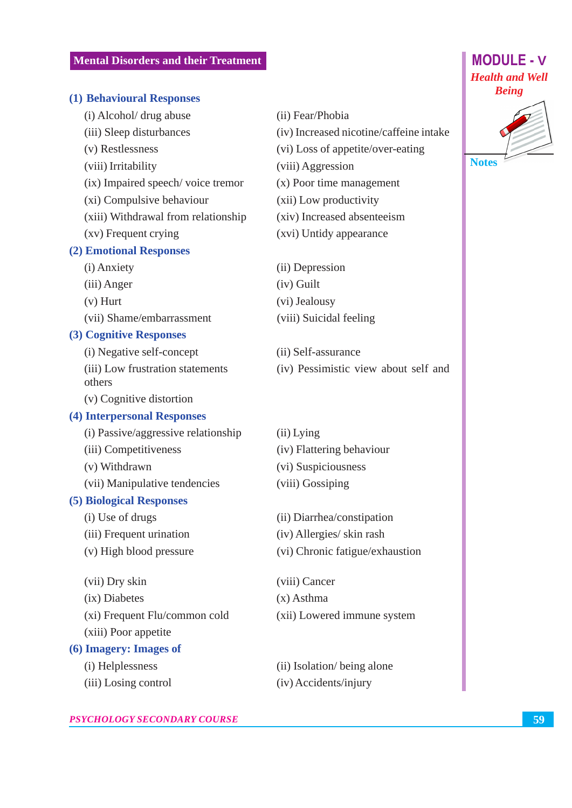#### (1) Behavioural Responses

- (i) Alcohol/ drug abuse
- (iii) Sleep disturbances
- (v) Restlessness
- (viii) Irritability
- (ix) Impaired speech/voice tremor
- (xi) Compulsive behaviour
- (xiii) Withdrawal from relationship
- (xv) Frequent crying

#### (2) Emotional Responses

- (i) Anxiety
- (iii) Anger
- $(v)$  Hurt
- (vii) Shame/embarrassment

#### (3) Cognitive Responses

(i) Negative self-concept

- (iii) Low frustration statements others
- (v) Cognitive distortion

#### (4) Interpersonal Responses

- (i) Passive/aggressive relationship
- (iii) Competitiveness
- (v) Withdrawn
- (vii) Manipulative tendencies

#### (5) Biological Responses

- (i) Use of drugs
- (iii) Frequent urination
- (v) High blood pressure
- (vii) Dry skin
- $(ix)$  Diabetes
- (xi) Frequent Flu/common cold
- (xiii) Poor appetite

#### (6) Imagery: Images of

- (i) Helplessness
- (iii) Losing control
- (ii) Fear/Phobia
- (iv) Increased nicotine/caffeine intake
- (vi) Loss of appetite/over-eating
- (viii) Aggression
- $(x)$  Poor time management
- (xii) Low productivity
- (xiv) Increased absenteeism
- (xvi) Untidy appearance
- (ii) Depression
- $(iv)$  Guilt
- (vi) Jealousy
- (viii) Suicidal feeling
- (ii) Self-assurance (iv) Pessimistic view about self and
- $(ii)$  Lying (iv) Flattering behaviour (vi) Suspiciousness (viii) Gossiping
- (ii) Diarrhea/constipation
- (iv) Allergies/ skin rash
- (vi) Chronic fatigue/exhaustion

(viii) Cancer  $(x)$  Asthma (xii) Lowered immune system

(ii) Isolation/being alone (iv) Accidents/injury



**MODULE - V**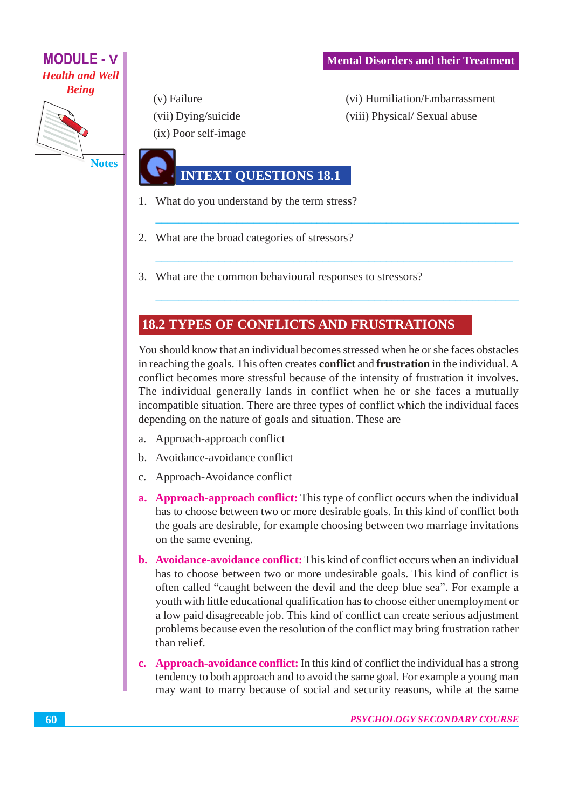

(v) Failure (vii) Dying/suicide (ix) Poor self-image (vi) Humiliation/Embarrassment (viii) Physical/Sexual abuse

## **INTEXT QUESTIONS 18.1**

- 1. What do you understand by the term stress?
- 2. What are the broad categories of stressors?
- 3. What are the common behavioural responses to stressors?

### **18.2 TYPES OF CONFLICTS AND FRUSTRATIONS**

You should know that an individual becomes stressed when he or she faces obstacles in reaching the goals. This often creates **conflict** and **frustration** in the individual. A conflict becomes more stressful because of the intensity of frustration it involves. The individual generally lands in conflict when he or she faces a mutually incompatible situation. There are three types of conflict which the individual faces depending on the nature of goals and situation. These are

- Approach-approach conflict a.
- b. Avoidance-avoidance conflict
- c. Approach-Avoidance conflict
- a. Approach-approach conflict: This type of conflict occurs when the individual has to choose between two or more desirable goals. In this kind of conflict both the goals are desirable, for example choosing between two marriage invitations on the same evening.
- **b.** Avoidance-avoidance conflict: This kind of conflict occurs when an individual has to choose between two or more undesirable goals. This kind of conflict is often called "caught between the devil and the deep blue sea". For example a youth with little educational qualification has to choose either unemployment or a low paid disagreeable job. This kind of conflict can create serious adjustment problems because even the resolution of the conflict may bring frustration rather than relief.
- c. Approach-avoidance conflict: In this kind of conflict the individual has a strong tendency to both approach and to avoid the same goal. For example a young man may want to marry because of social and security reasons, while at the same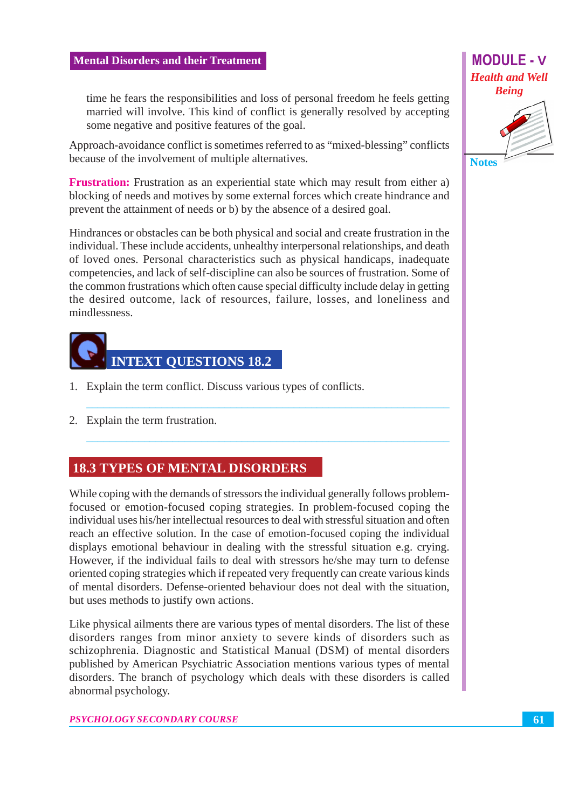**MODULE - V Health and Well Being** 



some negative and positive features of the goal. Approach-avoidance conflict is sometimes referred to as "mixed-blessing" conflicts

time he fears the responsibilities and loss of personal freedom he feels getting married will involve. This kind of conflict is generally resolved by accepting

because of the involvement of multiple alternatives.

**Frustration:** Frustration as an experiential state which may result from either a) blocking of needs and motives by some external forces which create hindrance and prevent the attainment of needs or b) by the absence of a desired goal.

Hindrances or obstacles can be both physical and social and create frustration in the individual. These include accidents, unhealthy interpersonal relationships, and death of loved ones. Personal characteristics such as physical handicaps, inadequate competencies, and lack of self-discipline can also be sources of frustration. Some of the common frustrations which often cause special difficulty include delay in getting the desired outcome, lack of resources, failure, losses, and loneliness and *mindlessness* 



- 1. Explain the term conflict. Discuss various types of conflicts.
- 2. Explain the term frustration.

## **18.3 TYPES OF MENTAL DISORDERS**

While coping with the demands of stressors the individual generally follows problemfocused or emotion-focused coping strategies. In problem-focused coping the individual uses his/her intellectual resources to deal with stressful situation and often reach an effective solution. In the case of emotion-focused coping the individual displays emotional behaviour in dealing with the stressful situation e.g. crying. However, if the individual fails to deal with stressors he/she may turn to defense oriented coping strategies which if repeated very frequently can create various kinds of mental disorders. Defense-oriented behaviour does not deal with the situation, but uses methods to justify own actions.

Like physical ailments there are various types of mental disorders. The list of these disorders ranges from minor anxiety to severe kinds of disorders such as schizophrenia. Diagnostic and Statistical Manual (DSM) of mental disorders published by American Psychiatric Association mentions various types of mental disorders. The branch of psychology which deals with these disorders is called abnormal psychology.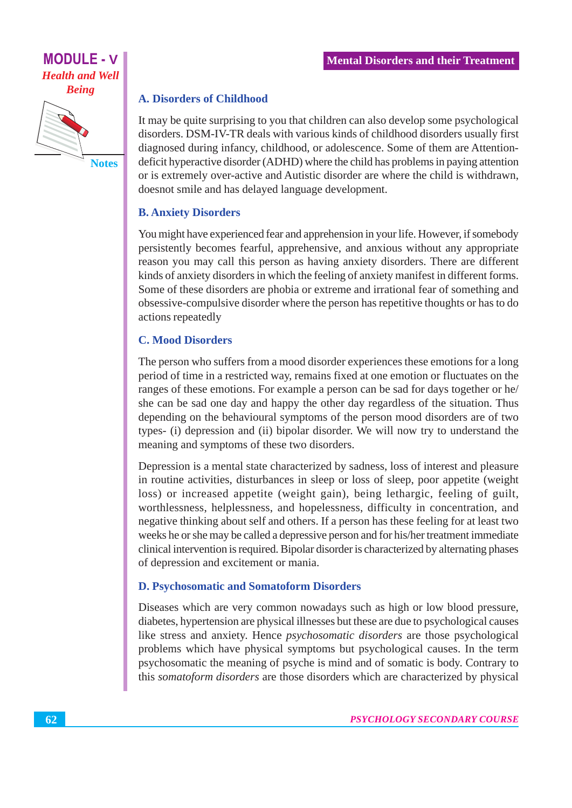

#### **A. Disorders of Childhood**

It may be quite surprising to you that children can also develop some psychological disorders. DSM-IV-TR deals with various kinds of childhood disorders usually first diagnosed during infancy, childhood, or adolescence. Some of them are Attentiondeficit hyperactive disorder (ADHD) where the child has problems in paying attention or is extremely over-active and Autistic disorder are where the child is withdrawn, doesnot smile and has delayed language development.

#### **B. Anxiety Disorders**

You might have experienced fear and apprehension in your life. However, if somebody persistently becomes fearful, apprehensive, and anxious without any appropriate reason you may call this person as having anxiety disorders. There are different kinds of anxiety disorders in which the feeling of anxiety manifest in different forms. Some of these disorders are phobia or extreme and irrational fear of something and obsessive-compulsive disorder where the person has repetitive thoughts or has to do actions repeatedly

#### **C. Mood Disorders**

The person who suffers from a mood disorder experiences these emotions for a long period of time in a restricted way, remains fixed at one emotion or fluctuates on the ranges of these emotions. For example a person can be sad for days together or he/ she can be sad one day and happy the other day regardless of the situation. Thus depending on the behavioural symptoms of the person mood disorders are of two types- (i) depression and (ii) bipolar disorder. We will now try to understand the meaning and symptoms of these two disorders.

Depression is a mental state characterized by sadness, loss of interest and pleasure in routine activities, disturbances in sleep or loss of sleep, poor appetite (weight loss) or increased appetite (weight gain), being lethargic, feeling of guilt, worthlessness, helplessness, and hopelessness, difficulty in concentration, and negative thinking about self and others. If a person has these feeling for at least two weeks he or she may be called a depressive person and for his/her treatment immediate clinical intervention is required. Bipolar disorder is characterized by alternating phases of depression and excitement or mania.

#### **D. Psychosomatic and Somatoform Disorders**

Diseases which are very common nowadays such as high or low blood pressure, diabetes, hypertension are physical illnesses but these are due to psychological causes like stress and anxiety. Hence *psychosomatic disorders* are those psychological problems which have physical symptoms but psychological causes. In the term psychosomatic the meaning of psyche is mind and of somatic is body. Contrary to this somatoform disorders are those disorders which are characterized by physical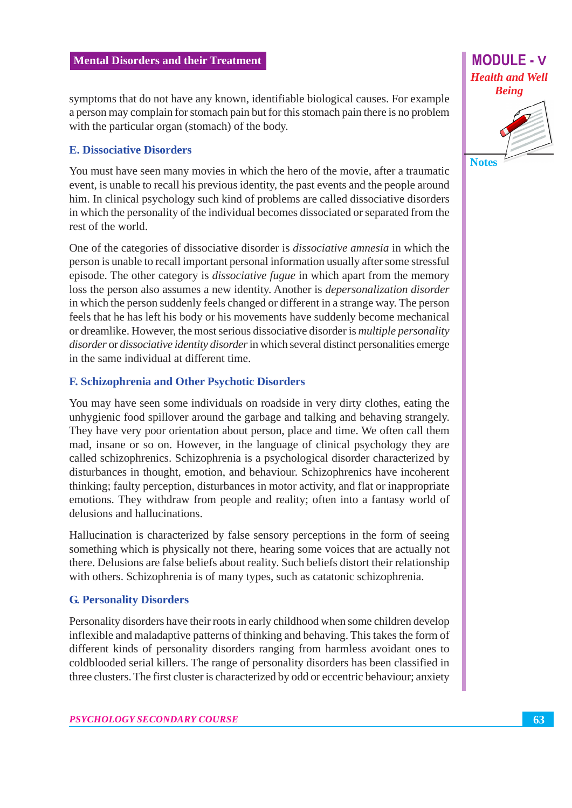symptoms that do not have any known, identifiable biological causes. For example a person may complain for stomach pain but for this stomach pain there is no problem with the particular organ (stomach) of the body.

#### **E. Dissociative Disorders**

You must have seen many movies in which the hero of the movie, after a traumatic event, is unable to recall his previous identity, the past events and the people around him. In clinical psychology such kind of problems are called dissociative disorders in which the personality of the individual becomes dissociated or separated from the rest of the world.

One of the categories of dissociative disorder is *dissociative amnesia* in which the person is unable to recall important personal information usually after some stressful episode. The other category is *dissociative fugue* in which apart from the memory loss the person also assumes a new identity. Another is *depersonalization disorder* in which the person suddenly feels changed or different in a strange way. The person feels that he has left his body or his movements have suddenly become mechanical or dreamlike. However, the most serious dissociative disorder is *multiple personality* disorder or dissociative identity disorder in which several distinct personalities emerge in the same individual at different time.

#### **F. Schizophrenia and Other Psychotic Disorders**

You may have seen some individuals on roadside in very dirty clothes, eating the unhygienic food spillover around the garbage and talking and behaving strangely. They have very poor orientation about person, place and time. We often call them mad, insane or so on. However, in the language of clinical psychology they are called schizophrenics. Schizophrenia is a psychological disorder characterized by disturbances in thought, emotion, and behaviour. Schizophrenics have incoherent thinking; faulty perception, disturbances in motor activity, and flat or inappropriate emotions. They withdraw from people and reality; often into a fantasy world of delusions and hallucinations.

Hallucination is characterized by false sensory perceptions in the form of seeing something which is physically not there, hearing some voices that are actually not there. Delusions are false beliefs about reality. Such beliefs distort their relationship with others. Schizophrenia is of many types, such as catatonic schizophrenia.

#### **G. Personality Disorders**

Personality disorders have their roots in early childhood when some children develop inflexible and maladaptive patterns of thinking and behaving. This takes the form of different kinds of personality disorders ranging from harmless avoidant ones to coldblooded serial killers. The range of personality disorders has been classified in three clusters. The first cluster is characterized by odd or eccentric behaviour; anxiety

**MODULE - V Health and Well Being** 

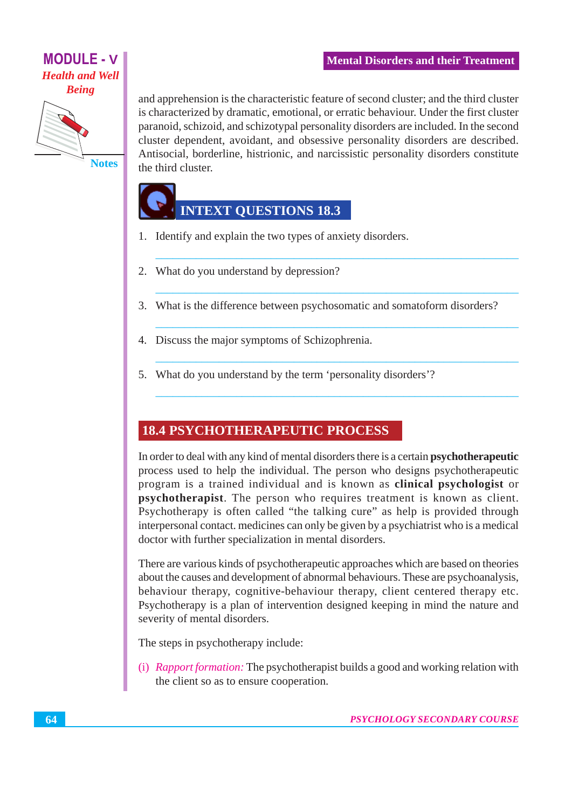



and apprehension is the characteristic feature of second cluster; and the third cluster is characterized by dramatic, emotional, or erratic behaviour. Under the first cluster paranoid, schizoid, and schizotypal personality disorders are included. In the second cluster dependent, avoidant, and obsessive personality disorders are described. Antisocial, borderline, histrionic, and narcissistic personality disorders constitute the third cluster.

## **INTEXT QUESTIONS 18.3**

- 1. Identify and explain the two types of anxiety disorders.
- 2. What do you understand by depression?
- 3. What is the difference between psychosomatic and somatoform disorders?
- 4. Discuss the major symptoms of Schizophrenia.
- 5. What do you understand by the term 'personality disorders'?

## **18.4 PSYCHOTHERAPEUTIC PROCESS**

In order to deal with any kind of mental disorders there is a certain **psychotherapeutic** process used to help the individual. The person who designs psychotherapeutic program is a trained individual and is known as clinical psychologist or **psychotherapist**. The person who requires treatment is known as client. Psychotherapy is often called "the talking cure" as help is provided through interpersonal contact. medicines can only be given by a psychiatrist who is a medical doctor with further specialization in mental disorders.

There are various kinds of psychotherapeutic approaches which are based on theories about the causes and development of abnormal behaviours. These are psychoanalysis, behaviour therapy, cognitive-behaviour therapy, client centered therapy etc. Psychotherapy is a plan of intervention designed keeping in mind the nature and severity of mental disorders.

The steps in psychotherapy include:

(i) Rapport formation: The psychotherapist builds a good and working relation with the client so as to ensure cooperation.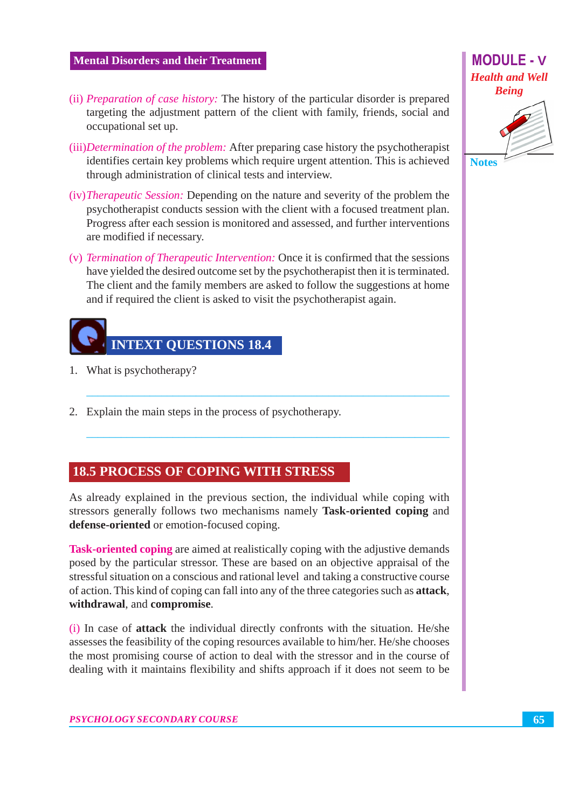- (ii) *Preparation of case history*: The history of the particular disorder is prepared targeting the adjustment pattern of the client with family, friends, social and occupational set up.
- (iii) *Determination of the problem:* After preparing case history the psychotherapist identifies certain key problems which require urgent attention. This is achieved through administration of clinical tests and interview.
- (iv) The rapeutic Session: Depending on the nature and severity of the problem the psychotherapist conducts session with the client with a focused treatment plan. Progress after each session is monitored and assessed, and further interventions are modified if necessary.
- (v) Termination of Therapeutic Intervention: Once it is confirmed that the sessions have yielded the desired outcome set by the psychotherapist then it is terminated. The client and the family members are asked to follow the suggestions at home and if required the client is asked to visit the psychotherapist again.



- 1. What is psychotherapy?
- 2. Explain the main steps in the process of psychotherapy.

#### **18.5 PROCESS OF COPING WITH STRESS**

As already explained in the previous section, the individual while coping with stressors generally follows two mechanisms namely Task-oriented coping and defense-oriented or emotion-focused coping.

**Task-oriented coping are aimed at realistically coping with the adjustive demands** posed by the particular stressor. These are based on an objective appraisal of the stressful situation on a conscious and rational level and taking a constructive course of action. This kind of coping can fall into any of the three categories such as **attack**, withdrawal, and compromise.

(i) In case of **attack** the individual directly confronts with the situation. He/she assesses the feasibility of the coping resources available to him/her. He/she chooses the most promising course of action to deal with the stressor and in the course of dealing with it maintains flexibility and shifts approach if it does not seem to be

### **MODULE - V Health and Well Being**

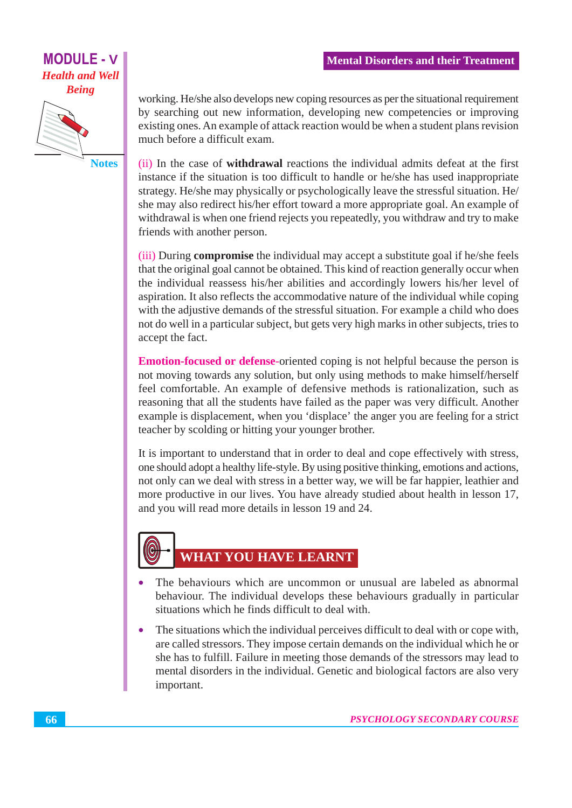**MODULE - V Health and Well Being** 



**Notes** 

working. He/she also develops new coping resources as per the situational requirement by searching out new information, developing new competencies or improving existing ones. An example of attack reaction would be when a student plans revision much before a difficult exam.

(ii) In the case of **withdrawal** reactions the individual admits defeat at the first instance if the situation is too difficult to handle or he/she has used inappropriate strategy. He/she may physically or psychologically leave the stressful situation. He/ she may also redirect his/her effort toward a more appropriate goal. An example of withdrawal is when one friend rejects you repeatedly, you withdraw and try to make friends with another person.

(iii) During **compromise** the individual may accept a substitute goal if he/she feels that the original goal cannot be obtained. This kind of reaction generally occur when the individual reassess his/her abilities and accordingly lowers his/her level of aspiration. It also reflects the accommodative nature of the individual while coping with the adjustive demands of the stressful situation. For example a child who does not do well in a particular subject, but gets very high marks in other subjects, tries to accept the fact.

**Emotion-focused or defense-**oriented coping is not helpful because the person is not moving towards any solution, but only using methods to make himself/herself feel comfortable. An example of defensive methods is rationalization, such as reasoning that all the students have failed as the paper was very difficult. Another example is displacement, when you 'displace' the anger you are feeling for a strict teacher by scolding or hitting your younger brother.

It is important to understand that in order to deal and cope effectively with stress, one should adopt a healthy life-style. By using positive thinking, emotions and actions, not only can we deal with stress in a better way, we will be far happier, leathier and more productive in our lives. You have already studied about health in lesson 17, and you will read more details in lesson 19 and 24.

## **WHAT YOU HAVE LEARNT**

- The behaviours which are uncommon or unusual are labeled as abnormal behaviour. The individual develops these behaviours gradually in particular situations which he finds difficult to deal with.
- The situations which the individual perceives difficult to deal with or cope with,  $\bullet$ are called stressors. They impose certain demands on the individual which he or she has to fulfill. Failure in meeting those demands of the stressors may lead to mental disorders in the individual. Genetic and biological factors are also very important.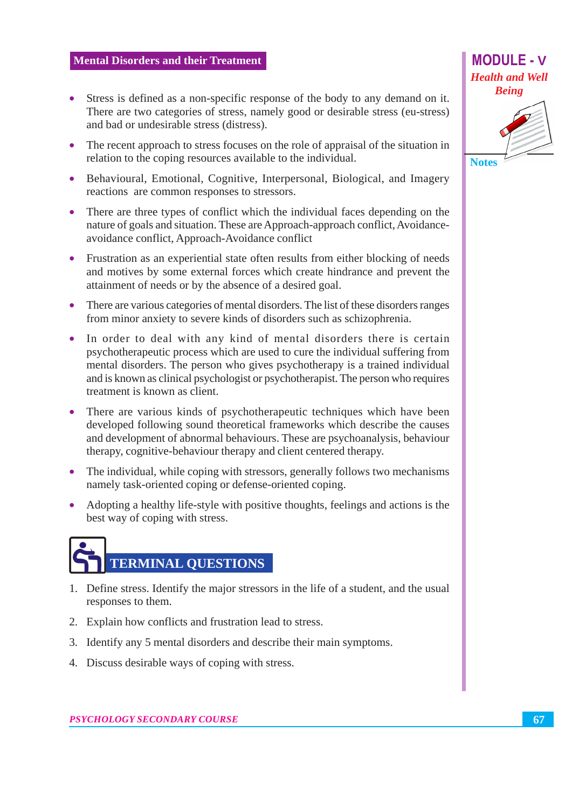- Stress is defined as a non-specific response of the body to any demand on it. There are two categories of stress, namely good or desirable stress (eu-stress) and bad or undesirable stress (distress).
- The recent approach to stress focuses on the role of appraisal of the situation in relation to the coping resources available to the individual.
- Behavioural, Emotional, Cognitive, Interpersonal, Biological, and Imagery reactions are common responses to stressors.
- There are three types of conflict which the individual faces depending on the nature of goals and situation. These are Approach-approach conflict, Avoidanceavoidance conflict, Approach-Avoidance conflict
- Frustration as an experiential state often results from either blocking of needs and motives by some external forces which create hindrance and prevent the attainment of needs or by the absence of a desired goal.
- There are various categories of mental disorders. The list of these disorders ranges from minor anxiety to severe kinds of disorders such as schizophrenia.
- In order to deal with any kind of mental disorders there is certain psychotherapeutic process which are used to cure the individual suffering from mental disorders. The person who gives psychotherapy is a trained individual and is known as clinical psychologist or psychotherapist. The person who requires treatment is known as client.
- There are various kinds of psychotherapeutic techniques which have been developed following sound theoretical frameworks which describe the causes and development of abnormal behaviours. These are psychoanalysis, behaviour therapy, cognitive-behaviour therapy and client centered therapy.
- The individual, while coping with stressors, generally follows two mechanisms  $\bullet$ namely task-oriented coping or defense-oriented coping.
- Adopting a healthy life-style with positive thoughts, feelings and actions is the  $\bullet$ best way of coping with stress.

# **TERMINAL QUESTIONS**

- 1. Define stress. Identify the major stressors in the life of a student, and the usual responses to them.
- 2. Explain how conflicts and frustration lead to stress.
- 3. Identify any 5 mental disorders and describe their main symptoms.
- 4. Discuss desirable ways of coping with stress.

### **MODULE - V Health and Well Being**

**Notes**